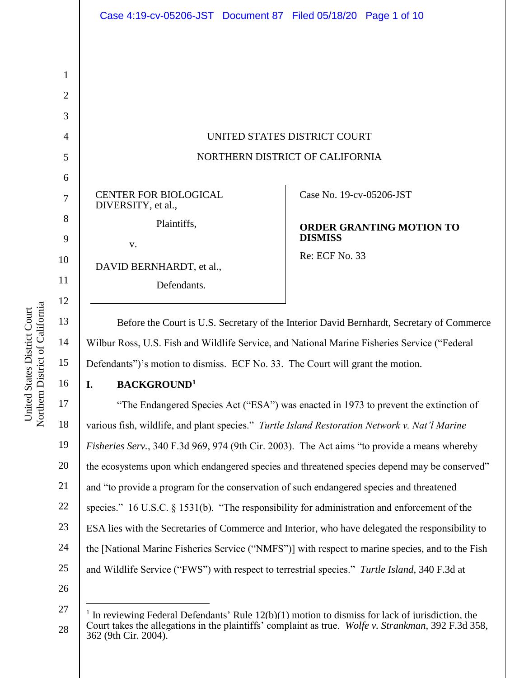|                              | Case 4:19-cv-05206-JST Document 87 Filed 05/18/20 Page 1 of 10 |
|------------------------------|----------------------------------------------------------------|
|                              |                                                                |
|                              |                                                                |
|                              |                                                                |
|                              |                                                                |
|                              |                                                                |
|                              | UNITED STATES DISTRICT COURT                                   |
|                              | NORTHERN DISTRICT OF CALIFORNIA                                |
|                              |                                                                |
| <b>CENTER FOR BIOLOGICAL</b> | Case No. 19-cv-05206-JST                                       |
| DIVERSITY, et al.,           |                                                                |
| Plaintiffs,                  | <b>ORDER GRANTING MOTION TO</b>                                |
| V.                           | <b>DISMISS</b>                                                 |
| DAVID BERNHARDT, et al.,     | Re: ECF No. 33                                                 |
| Defendants.                  |                                                                |
|                              |                                                                |

Wilbur Ross, U.S. Fish and Wildlife Service, and National Marine Fisheries Service ("Federal Defendants")'s motion to dismiss. ECF No. 33. The Court will grant the motion.

Northern District of California Northern District of California United States District Court United States District Court

14

15

16

## **I. BACKGROUND<sup>1</sup>**

17 18 19 20 21 22 23 24 25 "The Endangered Species Act ("ESA") was enacted in 1973 to prevent the extinction of various fish, wildlife, and plant species." *Turtle Island Restoration Network v. Nat'l Marine Fisheries Serv.*, 340 F.3d 969, 974 (9th Cir. 2003). The Act aims "to provide a means whereby the ecosystems upon which endangered species and threatened species depend may be conserved" and "to provide a program for the conservation of such endangered species and threatened species." 16 U.S.C. § 1531(b). "The responsibility for administration and enforcement of the ESA lies with the Secretaries of Commerce and Interior, who have delegated the responsibility to the [National Marine Fisheries Service ("NMFS")] with respect to marine species, and to the Fish and Wildlife Service ("FWS") with respect to terrestrial species." *Turtle Island*, 340 F.3d at

26

 $\overline{a}$ 

<sup>27</sup> <sup>1</sup> In reviewing Federal Defendants' Rule  $12(b)(1)$  motion to dismiss for lack of jurisdiction, the Court takes the allegations in the plaintiffs' complaint as true. *Wolfe v. Strankman*, 392 F.3d 358, 362 (9th Cir. 2004).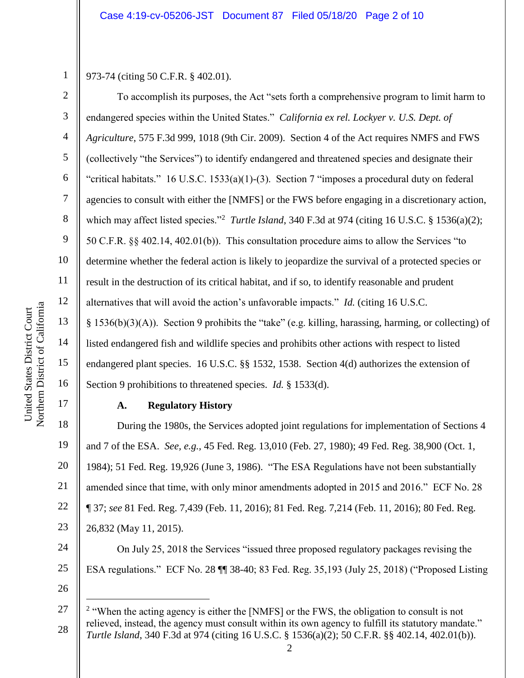973-74 (citing 50 C.F.R. § 402.01).

1

2

3

4

5

6

7

8

9

10

11

12

13

14

15

16

17

18

19

20

21

22

23

26

 $\overline{a}$ 

To accomplish its purposes, the Act "sets forth a comprehensive program to limit harm to endangered species within the United States." *California ex rel. Lockyer v. U.S. Dept. of Agriculture*, 575 F.3d 999, 1018 (9th Cir. 2009). Section 4 of the Act requires NMFS and FWS (collectively "the Services") to identify endangered and threatened species and designate their "critical habitats." 16 U.S.C. 1533(a)(1)-(3). Section 7 "imposes a procedural duty on federal agencies to consult with either the [NMFS] or the FWS before engaging in a discretionary action, which may affect listed species."<sup>2</sup> Turtle Island, 340 F.3d at 974 (citing 16 U.S.C. § 1536(a)(2); 50 C.F.R. §§ 402.14, 402.01(b)). This consultation procedure aims to allow the Services "to determine whether the federal action is likely to jeopardize the survival of a protected species or result in the destruction of its critical habitat, and if so, to identify reasonable and prudent alternatives that will avoid the action's unfavorable impacts." *Id.* (citing 16 U.S.C. § 1536(b)(3)(A)). Section 9 prohibits the "take" (e.g. killing, harassing, harming, or collecting) of listed endangered fish and wildlife species and prohibits other actions with respect to listed endangered plant species. 16 U.S.C. §§ 1532, 1538. Section 4(d) authorizes the extension of Section 9 prohibitions to threatened species. *Id.* § 1533(d).

**A. Regulatory History**

During the 1980s, the Services adopted joint regulations for implementation of Sections 4 and 7 of the ESA. *See, e.g.,* 45 Fed. Reg. 13,010 (Feb. 27, 1980); 49 Fed. Reg. 38,900 (Oct. 1, 1984); 51 Fed. Reg. 19,926 (June 3, 1986). "The ESA Regulations have not been substantially amended since that time, with only minor amendments adopted in 2015 and 2016." ECF No. 28 ¶ 37; *see* 81 Fed. Reg. 7,439 (Feb. 11, 2016); 81 Fed. Reg. 7,214 (Feb. 11, 2016); 80 Fed. Reg. 26,832 (May 11, 2015).

24 25 On July 25, 2018 the Services "issued three proposed regulatory packages revising the ESA regulations." ECF No. 28 ¶¶ 38-40; 83 Fed. Reg. 35,193 (July 25, 2018) ("Proposed Listing

<sup>27</sup> 28 <sup>2</sup> "When the acting agency is either the [NMFS] or the FWS, the obligation to consult is not relieved, instead, the agency must consult within its own agency to fulfill its statutory mandate." *Turtle Island*, 340 F.3d at 974 (citing 16 U.S.C. § 1536(a)(2); 50 C.F.R. §§ 402.14, 402.01(b)).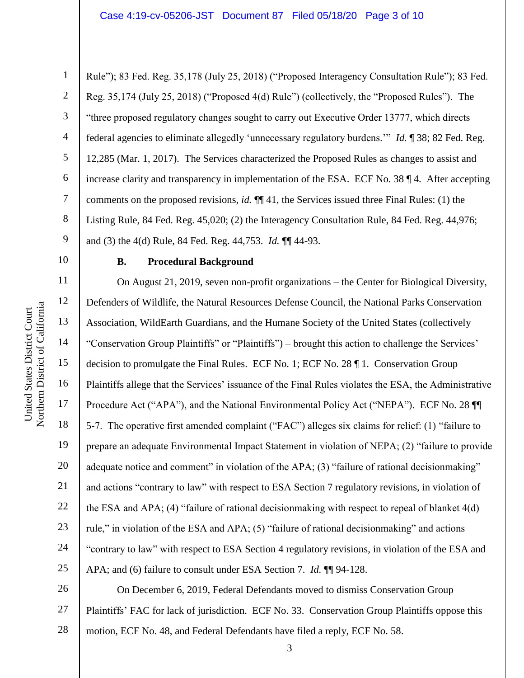4 6 7 9 Rule"); 83 Fed. Reg. 35,178 (July 25, 2018) ("Proposed Interagency Consultation Rule"); 83 Fed. Reg. 35,174 (July 25, 2018) ("Proposed 4(d) Rule") (collectively, the "Proposed Rules"). The "three proposed regulatory changes sought to carry out Executive Order 13777, which directs federal agencies to eliminate allegedly 'unnecessary regulatory burdens.'" *Id.* ¶ 38; 82 Fed. Reg. 12,285 (Mar. 1, 2017). The Services characterized the Proposed Rules as changes to assist and increase clarity and transparency in implementation of the ESA. ECF No. 38 ¶ 4. After accepting comments on the proposed revisions, *id.* ¶¶ 41, the Services issued three Final Rules: (1) the Listing Rule, 84 Fed. Reg. 45,020; (2) the Interagency Consultation Rule, 84 Fed. Reg. 44,976; and (3) the 4(d) Rule, 84 Fed. Reg. 44,753. *Id.* ¶¶ 44-93.

10 11

12

13

14

15

17

18

19

25

8

1

2

3

5

#### **B. Procedural Background**

16 20 21 22 23 24 On August 21, 2019, seven non-profit organizations – the Center for Biological Diversity, Defenders of Wildlife, the Natural Resources Defense Council, the National Parks Conservation Association, WildEarth Guardians, and the Humane Society of the United States (collectively "Conservation Group Plaintiffs" or "Plaintiffs") – brought this action to challenge the Services' decision to promulgate the Final Rules. ECF No. 1; ECF No. 28 ¶ 1. Conservation Group Plaintiffs allege that the Services' issuance of the Final Rules violates the ESA, the Administrative Procedure Act ("APA"), and the National Environmental Policy Act ("NEPA"). ECF No. 28 ¶¶ 5-7. The operative first amended complaint ("FAC") alleges six claims for relief: (1) "failure to prepare an adequate Environmental Impact Statement in violation of NEPA; (2) "failure to provide adequate notice and comment" in violation of the APA; (3) "failure of rational decisionmaking" and actions "contrary to law" with respect to ESA Section 7 regulatory revisions, in violation of the ESA and APA; (4) "failure of rational decisionmaking with respect to repeal of blanket 4(d) rule," in violation of the ESA and APA; (5) "failure of rational decisionmaking" and actions "contrary to law" with respect to ESA Section 4 regulatory revisions, in violation of the ESA and APA; and (6) failure to consult under ESA Section 7. *Id.* ¶¶ 94-128.

26 27 28 On December 6, 2019, Federal Defendants moved to dismiss Conservation Group Plaintiffs' FAC for lack of jurisdiction. ECF No. 33. Conservation Group Plaintiffs oppose this motion, ECF No. 48, and Federal Defendants have filed a reply, ECF No. 58.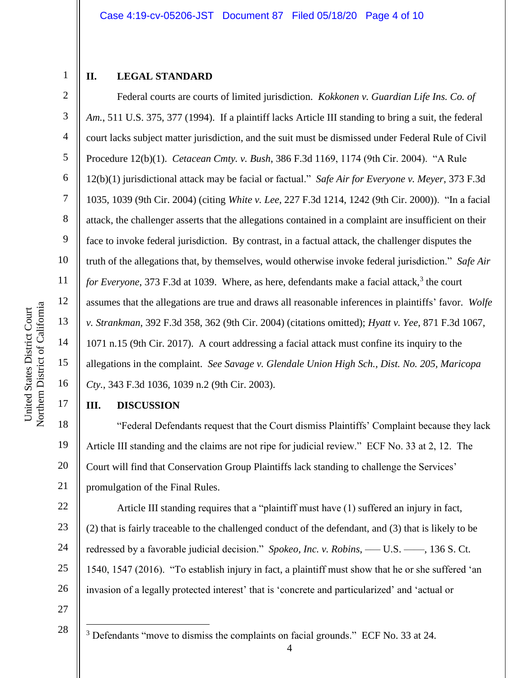# 2 3

4

5

6

7

8

9

10

11

12

13

14

15

16

17

18

19

21

23

25

1

# **II. LEGAL STANDARD**

Federal courts are courts of limited jurisdiction. *Kokkonen v. Guardian Life Ins. Co. of Am.*, 511 U.S. 375, 377 (1994). If a plaintiff lacks Article III standing to bring a suit, the federal court lacks subject matter jurisdiction, and the suit must be dismissed under Federal Rule of Civil Procedure 12(b)(1). *Cetacean Cmty. v. Bush*, 386 F.3d 1169, 1174 (9th Cir. 2004). "A Rule 12(b)(1) jurisdictional attack may be facial or factual." *Safe Air for Everyone v. Meyer*, 373 F.3d 1035, 1039 (9th Cir. 2004) (citing *White v. Lee,* 227 F.3d 1214, 1242 (9th Cir. 2000)). "In a facial attack, the challenger asserts that the allegations contained in a complaint are insufficient on their face to invoke federal jurisdiction. By contrast, in a factual attack, the challenger disputes the truth of the allegations that, by themselves, would otherwise invoke federal jurisdiction." *Safe Air*  for Everyone, 373 F.3d at 1039. Where, as here, defendants make a facial attack,<sup>3</sup> the court assumes that the allegations are true and draws all reasonable inferences in plaintiffs' favor. *Wolfe v. Strankman*, 392 F.3d 358, 362 (9th Cir. 2004) (citations omitted); *Hyatt v. Yee*, 871 F.3d 1067, 1071 n.15 (9th Cir. 2017). A court addressing a facial attack must confine its inquiry to the allegations in the complaint. *See Savage v. Glendale Union High Sch., Dist. No. 205, Maricopa Cty.*, 343 F.3d 1036, 1039 n.2 (9th Cir. 2003).

#### **III. DISCUSSION**

20 "Federal Defendants request that the Court dismiss Plaintiffs' Complaint because they lack Article III standing and the claims are not ripe for judicial review." ECF No. 33 at 2, 12. The Court will find that Conservation Group Plaintiffs lack standing to challenge the Services' promulgation of the Final Rules.

22 24 26 Article III standing requires that a "plaintiff must have (1) suffered an injury in fact, (2) that is fairly traceable to the challenged conduct of the defendant, and (3) that is likely to be redressed by a favorable judicial decision." *Spokeo, Inc. v. Robins*, — U.S. — , 136 S. Ct. 1540, 1547 (2016). "To establish injury in fact, a plaintiff must show that he or she suffered 'an invasion of a legally protected interest' that is 'concrete and particularized' and 'actual or

27 28

 $\overline{a}$ 

<sup>3</sup> Defendants "move to dismiss the complaints on facial grounds." ECF No. 33 at 24.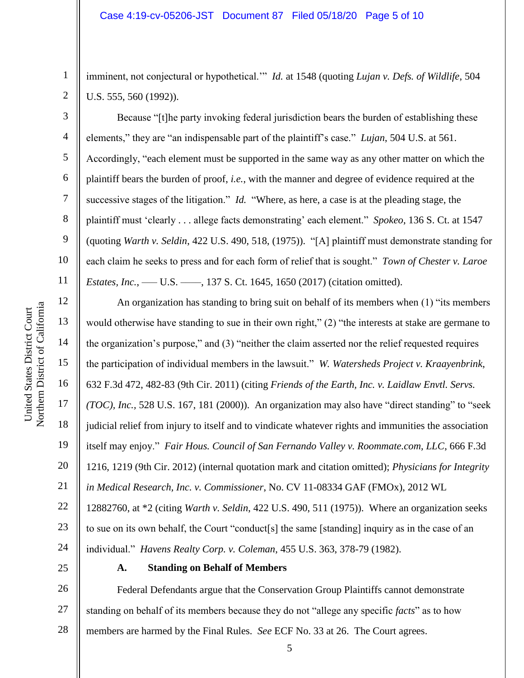imminent, not conjectural or hypothetical.'" *Id.* at 1548 (quoting *Lujan v. Defs. of Wildlife*, 504 U.S. 555, 560 (1992)).

Because "[t]he party invoking federal jurisdiction bears the burden of establishing these elements," they are "an indispensable part of the plaintiff's case." *Lujan*, 504 U.S. at 561. Accordingly, "each element must be supported in the same way as any other matter on which the plaintiff bears the burden of proof, *i.e.*, with the manner and degree of evidence required at the successive stages of the litigation." *Id.* "Where, as here, a case is at the pleading stage, the plaintiff must 'clearly . . . allege facts demonstrating' each element." *Spokeo*, 136 S. Ct. at 1547 (quoting *Warth v. Seldin*, 422 U.S. 490, 518, (1975)). "[A] plaintiff must demonstrate standing for each claim he seeks to press and for each form of relief that is sought." *Town of Chester v. Laroe Estates, Inc.*, — U.S. — , 137 S. Ct. 1645, 1650 (2017) (citation omitted).

An organization has standing to bring suit on behalf of its members when (1) "its members would otherwise have standing to sue in their own right," (2) "the interests at stake are germane to the organization's purpose," and (3) "neither the claim asserted nor the relief requested requires the participation of individual members in the lawsuit." *W. Watersheds Project v. Kraayenbrink*, 632 F.3d 472, 482-83 (9th Cir. 2011) (citing *Friends of the Earth, Inc. v. Laidlaw Envtl. Servs. (TOC), Inc.,* 528 U.S. 167, 181 (2000)). An organization may also have "direct standing" to "seek judicial relief from injury to itself and to vindicate whatever rights and immunities the association itself may enjoy." *Fair Hous. Council of San Fernando Valley v. Roommate.com, LLC*, 666 F.3d 1216, 1219 (9th Cir. 2012) (internal quotation mark and citation omitted); *Physicians for Integrity in Medical Research, Inc. v. Commissioner*, No. CV 11-08334 GAF (FMOx), 2012 WL 12882760, at \*2 (citing *Warth v. Seldin*, 422 U.S. 490, 511 (1975)). Where an organization seeks to sue on its own behalf, the Court "conduct[s] the same [standing] inquiry as in the case of an

individual." *Havens Realty Corp. v. Coleman*, 455 U.S. 363, 378-79 (1982).

25

### **A. Standing on Behalf of Members**

26 27 28 Federal Defendants argue that the Conservation Group Plaintiffs cannot demonstrate standing on behalf of its members because they do not "allege any specific *facts*" as to how members are harmed by the Final Rules. *See* ECF No. 33 at 26. The Court agrees.

1

2

3

4

5

6

7

8

9

10

11

12

13

14

15

16

17

18

19

20

21

22

23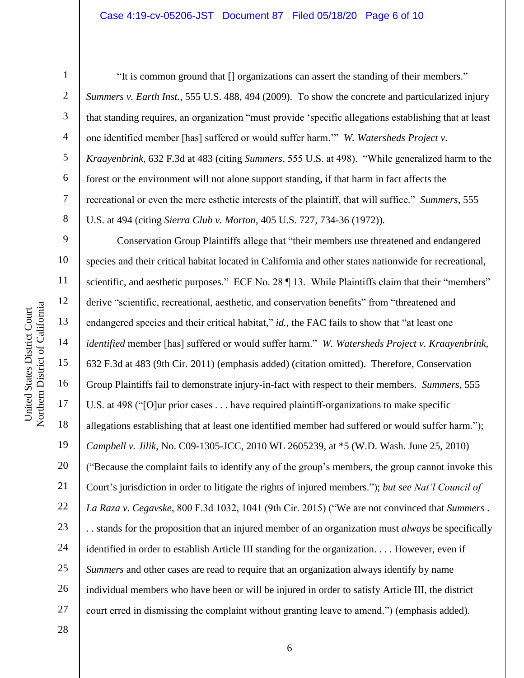1

2

3

4

5

6

7

8

9

10

11

12

13

14

15

16

17

18

19

20

21

22

23

24

25

26

27

"It is common ground that [] organizations can assert the standing of their members." *Summers v. Earth Inst.*, 555 U.S. 488, 494 (2009). To show the concrete and particularized injury that standing requires, an organization "must provide 'specific allegations establishing that at least one identified member [has] suffered or would suffer harm.'" *W. Watersheds Project v. Kraayenbrink*, 632 F.3d at 483 (citing *Summers*, 555 U.S. at 498). "While generalized harm to the forest or the environment will not alone support standing, if that harm in fact affects the recreational or even the mere esthetic interests of the plaintiff, that will suffice." *Summers*, 555 U.S. at 494 (citing *Sierra Club v. Morton*, 405 U.S. 727, 734-36 (1972)).

Conservation Group Plaintiffs allege that "their members use threatened and endangered species and their critical habitat located in California and other states nationwide for recreational, scientific, and aesthetic purposes." ECF No. 28  $\P$  13. While Plaintiffs claim that their "members" derive "scientific, recreational, aesthetic, and conservation benefits" from "threatened and endangered species and their critical habitat," *id.*, the FAC fails to show that "at least one *identified* member [has] suffered or would suffer harm." *W. Watersheds Project v. Kraayenbrink*, 632 F.3d at 483 (9th Cir. 2011) (emphasis added) (citation omitted). Therefore, Conservation Group Plaintiffs fail to demonstrate injury-in-fact with respect to their members. *Summers*, 555 U.S. at 498 ("[O]ur prior cases . . . have required plaintiff-organizations to make specific allegations establishing that at least one identified member had suffered or would suffer harm."); *Campbell v. Jilik*, No. C09-1305-JCC, 2010 WL 2605239, at \*5 (W.D. Wash. June 25, 2010) ("Because the complaint fails to identify any of the group's members, the group cannot invoke this Court's jurisdiction in order to litigate the rights of injured members."); *but see Nat'l Council of La Raza v. Cegavske*, 800 F.3d 1032, 1041 (9th Cir. 2015) ("We are not convinced that *Summers* . . . stands for the proposition that an injured member of an organization must *always* be specifically identified in order to establish Article III standing for the organization. . . . However, even if *Summers* and other cases are read to require that an organization always identify by name individual members who have been or will be injured in order to satisfy Article III, the district court erred in dismissing the complaint without granting leave to amend.") (emphasis added).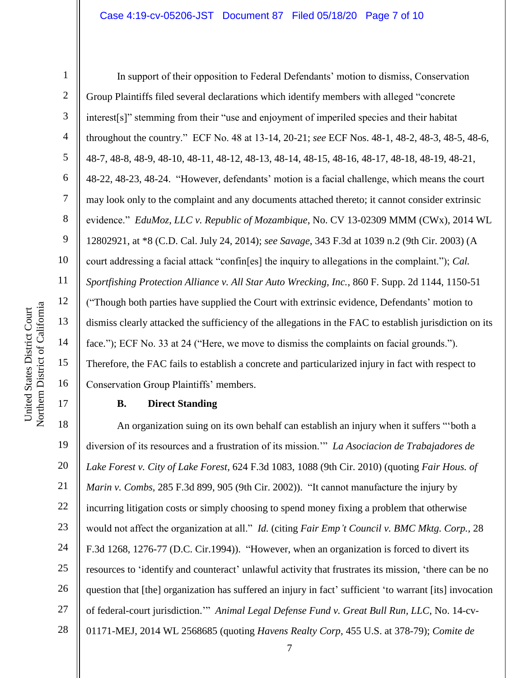#### Case 4:19-cv-05206-JST Document 87 Filed 05/18/20 Page 7 of 10

1

2

3

4

5

6

7

8

9

10

11

12

13

14

15

16

17

In support of their opposition to Federal Defendants' motion to dismiss, Conservation Group Plaintiffs filed several declarations which identify members with alleged "concrete interest[s]" stemming from their "use and enjoyment of imperiled species and their habitat throughout the country." ECF No. 48 at 13-14, 20-21; *see* ECF Nos. 48-1, 48-2, 48-3, 48-5, 48-6, 48-7, 48-8, 48-9, 48-10, 48-11, 48-12, 48-13, 48-14, 48-15, 48-16, 48-17, 48-18, 48-19, 48-21, 48-22, 48-23, 48-24. "However, defendants' motion is a facial challenge, which means the court may look only to the complaint and any documents attached thereto; it cannot consider extrinsic evidence." *EduMoz, LLC v. Republic of Mozambique*, No. CV 13-02309 MMM (CWx), 2014 WL 12802921, at \*8 (C.D. Cal. July 24, 2014); *see Savage*, 343 F.3d at 1039 n.2 (9th Cir. 2003) (A court addressing a facial attack "confin[es] the inquiry to allegations in the complaint."); *Cal. Sportfishing Protection Alliance v. All Star Auto Wrecking, Inc.*, 860 F. Supp. 2d 1144, 1150-51 ("Though both parties have supplied the Court with extrinsic evidence, Defendants' motion to dismiss clearly attacked the sufficiency of the allegations in the FAC to establish jurisdiction on its face."); ECF No. 33 at 24 ("Here, we move to dismiss the complaints on facial grounds."). Therefore, the FAC fails to establish a concrete and particularized injury in fact with respect to Conservation Group Plaintiffs' members.

#### **B. Direct Standing**

18 19 20 21 22 23 24 25 26 27 28 An organization suing on its own behalf can establish an injury when it suffers "'both a diversion of its resources and a frustration of its mission.'" *La Asociacion de Trabajadores de Lake Forest v. City of Lake Forest,* 624 F.3d 1083, 1088 (9th Cir. 2010) (quoting *Fair Hous. of Marin v. Combs,* 285 F.3d 899, 905 (9th Cir. 2002)). "It cannot manufacture the injury by incurring litigation costs or simply choosing to spend money fixing a problem that otherwise would not affect the organization at all." *Id.* (citing *Fair Emp't Council v. BMC Mktg. Corp.,* 28 F.3d 1268, 1276-77 (D.C. Cir.1994)). "However, when an organization is forced to divert its resources to 'identify and counteract' unlawful activity that frustrates its mission, 'there can be no question that [the] organization has suffered an injury in fact' sufficient 'to warrant [its] invocation of federal-court jurisdiction.'" *Animal Legal Defense Fund v. Great Bull Run, LLC*, No. 14-cv-01171-MEJ, 2014 WL 2568685 (quoting *Havens Realty Corp*, 455 U.S. at 378-79); *Comite de*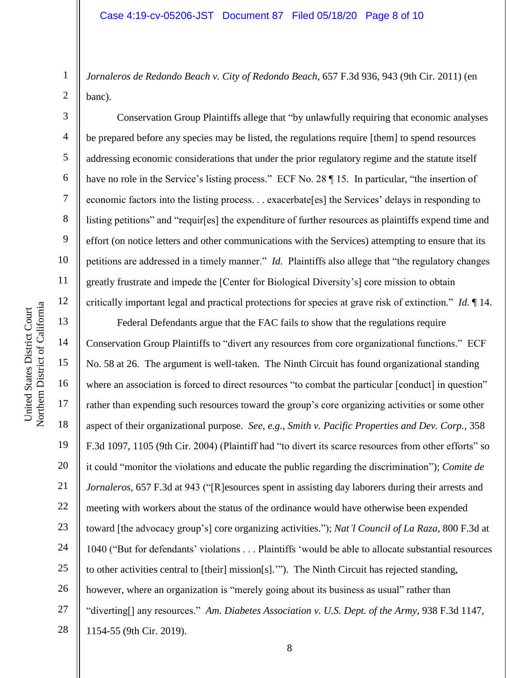*Jornaleros de Redondo Beach v. City of Redondo Beach*, 657 F.3d 936, 943 (9th Cir. 2011) (en banc).

Conservation Group Plaintiffs allege that "by unlawfully requiring that economic analyses be prepared before any species may be listed, the regulations require [them] to spend resources addressing economic considerations that under the prior regulatory regime and the statute itself have no role in the Service's listing process." ECF No. 28  $\P$  15. In particular, "the insertion of economic factors into the listing process. . . exacerbate[es] the Services' delays in responding to listing petitions" and "requir[es] the expenditure of further resources as plaintiffs expend time and effort (on notice letters and other communications with the Services) attempting to ensure that its petitions are addressed in a timely manner." *Id.* Plaintiffs also allege that "the regulatory changes greatly frustrate and impede the [Center for Biological Diversity's] core mission to obtain critically important legal and practical protections for species at grave risk of extinction." *Id.* ¶ 14.

16 20 22 23 24 26 27 Federal Defendants argue that the FAC fails to show that the regulations require Conservation Group Plaintiffs to "divert any resources from core organizational functions." ECF No. 58 at 26. The argument is well-taken. The Ninth Circuit has found organizational standing where an association is forced to direct resources "to combat the particular [conduct] in question" rather than expending such resources toward the group's core organizing activities or some other aspect of their organizational purpose. *See, e.g., Smith v. Pacific Properties and Dev. Corp.*, 358 F.3d 1097, 1105 (9th Cir. 2004) (Plaintiff had "to divert its scarce resources from other efforts" so it could "monitor the violations and educate the public regarding the discrimination"); *Comite de Jornaleros*, 657 F.3d at 943 ("[R]esources spent in assisting day laborers during their arrests and meeting with workers about the status of the ordinance would have otherwise been expended toward [the advocacy group's] core organizing activities."); *Nat'l Council of La Raza*, 800 F.3d at 1040 ("But for defendants' violations . . . Plaintiffs 'would be able to allocate substantial resources to other activities central to [their] mission[s].'"). The Ninth Circuit has rejected standing, however, where an organization is "merely going about its business as usual" rather than "diverting[] any resources." *Am. Diabetes Association v. U.S. Dept. of the Army*, 938 F.3d 1147, 1154-55 (9th Cir. 2019).

1

2

3

4

5

6

7

8

9

10

11

12

13

14

15

17

18

19

21

25

28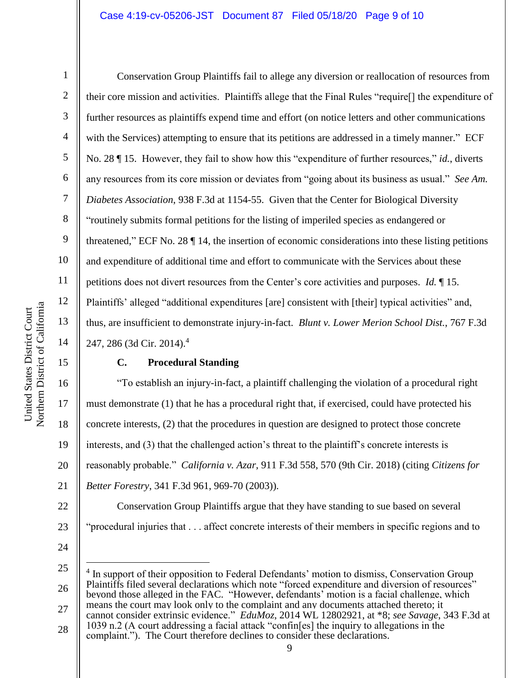1

2

3

4

5

6

7

8

9

10

11

12

13

14

15

17

18

19

21

Conservation Group Plaintiffs fail to allege any diversion or reallocation of resources from their core mission and activities. Plaintiffs allege that the Final Rules "require[] the expenditure of further resources as plaintiffs expend time and effort (on notice letters and other communications with the Services) attempting to ensure that its petitions are addressed in a timely manner." ECF No. 28 ¶ 15. However, they fail to show how this "expenditure of further resources," *id.*, diverts any resources from its core mission or deviates from "going about its business as usual." *See Am. Diabetes Association*, 938 F.3d at 1154-55. Given that the Center for Biological Diversity "routinely submits formal petitions for the listing of imperiled species as endangered or threatened," ECF No. 28 ¶ 14, the insertion of economic considerations into these listing petitions and expenditure of additional time and effort to communicate with the Services about these petitions does not divert resources from the Center's core activities and purposes. *Id.* ¶ 15. Plaintiffs' alleged "additional expenditures [are] consistent with [their] typical activities" and, thus, are insufficient to demonstrate injury-in-fact. *Blunt v. Lower Merion School Dist.*, 767 F.3d 247, 286 (3d Cir. 2014).<sup>4</sup>

## **C. Procedural Standing**

16 20 "To establish an injury-in-fact, a plaintiff challenging the violation of a procedural right must demonstrate (1) that he has a procedural right that, if exercised, could have protected his concrete interests, (2) that the procedures in question are designed to protect those concrete interests, and (3) that the challenged action's threat to the plaintiff's concrete interests is reasonably probable." *California v. Azar*, 911 F.3d 558, 570 (9th Cir. 2018) (citing *Citizens for Better Forestry*, 341 F.3d 961, 969-70 (2003)).

22 23 Conservation Group Plaintiffs argue that they have standing to sue based on several "procedural injuries that . . . affect concrete interests of their members in specific regions and to

24

 $\overline{a}$ 

25 26 4 In support of their opposition to Federal Defendants' motion to dismiss, Conservation Group Plaintiffs filed several declarations which note "forced expenditure and diversion of resources" beyond those alleged in the FAC. "However, defendants' motion is a facial challenge, which

- 27 means the court may look only to the complaint and any documents attached thereto; it cannot consider extrinsic evidence." *EduMoz*, 2014 WL 12802921, at \*8; *see Savage*, 343 F.3d at 1039 n.2 (A court addressing a facial attack "confin[es] the inquiry to allegations in the
- 28 complaint."). The Court therefore declines to consider these declarations.